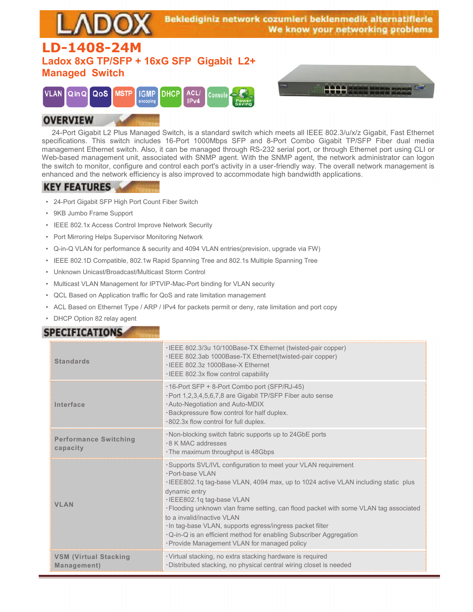

#### **OVERVIEW**

 24-Port Gigabit L2 Plus Managed Switch, is a standard switch which meets all IEEE 802.3/u/x/z Gigabit, Fast Ethernet specifications. This switch includes 16-Port 1000Mbps SFP and 8-Port Combo Gigabit TP/SFP Fiber dual media management Ethernet switch. Also, it can be managed through RS-232 serial port, or through Ethernet port using CLI or Web-based management unit, associated with SNMP agent. With the SNMP agent, the network administrator can logon the switch to monitor, configure and control each port's activity in a user-friendly way. The overall network management is enhanced and the network efficiency is also improved to accommodate high bandwidth applications.

#### **KEY FEATURES**

- 24-Port Gigabit SFP High Port Count Fiber Switch
- 9KB Jumbo Frame Support
- IEEE 802.1x Access Control Improve Network Security
- Port Mirroring Helps Supervisor Monitoring Network
- Q-in-Q VLAN for performance & security and 4094 VLAN entries(prevision, upgrade via FW)
- IEEE 802.1D Compatible, 802.1w Rapid Spanning Tree and 802.1s Multiple Spanning Tree
- Unknown Unicast/Broadcast/Multicast Storm Control
- Multicast VLAN Management for IPTVIP-Mac-Port binding for VLAN security
- QCL Based on Application traffic for QoS and rate limitation management
- ACL Based on Ethernet Type / ARP / IPv4 for packets permit or deny, rate limitation and port copy
- DHCP Option 82 relay agent

### **SPECIFICATIONS**

| <b>Standards</b>                            | . IEEE 802.3/3u 10/100Base-TX Ethernet (twisted-pair copper)<br>. IEEE 802.3ab 1000Base-TX Ethernet(twisted-pair copper)<br>. IFFF 802.3z 1000Base-X Fthernet<br>. IEEE 802.3x flow control capability                                                                                                                                                                                                                                                                                                                             |
|---------------------------------------------|------------------------------------------------------------------------------------------------------------------------------------------------------------------------------------------------------------------------------------------------------------------------------------------------------------------------------------------------------------------------------------------------------------------------------------------------------------------------------------------------------------------------------------|
| Interface                                   | .16-Port SFP + 8-Port Combo port (SFP/RJ-45)<br>· Port 1,2,3,4,5,6,7,8 are Gigabit TP/SFP Fiber auto sense<br>. Auto-Negotiation and Auto-MDIX<br>· Backpressure flow control for half duplex.<br>.802.3x flow control for full duplex.                                                                                                                                                                                                                                                                                            |
| <b>Performance Switching</b><br>capacity    | . Non-blocking switch fabric supports up to 24GbE ports<br>.8 K MAC addresses<br>. The maximum throughput is 48Gbps                                                                                                                                                                                                                                                                                                                                                                                                                |
| <b>VLAN</b>                                 | · Supports SVL/IVL configuration to meet your VLAN requirement<br>· Port-base VI AN<br>·IEEE802.1q tag-base VLAN, 4094 max, up to 1024 active VLAN including static plus<br>dynamic entry<br>·IEEE802.1q tag-base VLAN<br>. Flooding unknown vlan frame setting, can flood packet with some VLAN tag associated<br>to a invalid/inactive VI AN<br>· In tag-base VLAN, supports egress/ingress packet filter<br>. Q-in-Q is an efficient method for enabling Subscriber Aggregation<br>· Provide Management VLAN for managed policy |
| <b>VSM (Virtual Stacking</b><br>Management) | · Virtual stacking, no extra stacking hardware is required<br>· Distributed stacking, no physical central wiring closet is needed                                                                                                                                                                                                                                                                                                                                                                                                  |